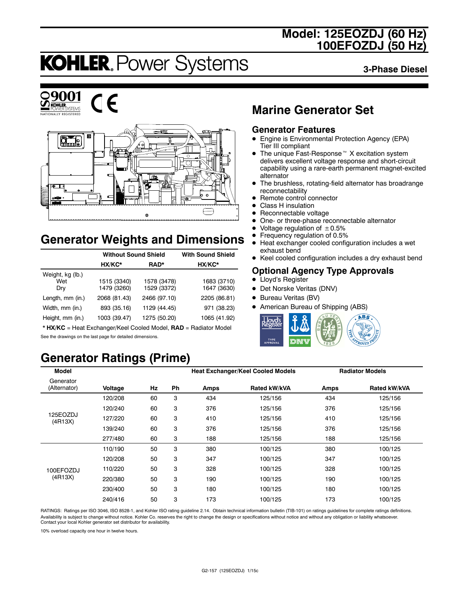# **Model: 125EOZDJ (60 Hz) 100EFOZDJ (50 Hz)**

# **KOHLER. Power Systems**

**3-Phase Diesel**





 $\epsilon$ 



# **Generator Weights and Dimensions**

|                                | <b>Without Sound Shield</b> | <b>With Sound Shield</b>   |                            |
|--------------------------------|-----------------------------|----------------------------|----------------------------|
|                                | HX/KC*                      | RAD*                       | HX/KC*                     |
| Weight, kg (lb.)<br>Wet<br>Dry | 1515 (3340)<br>1479 (3260)  | 1578 (3478)<br>1529 (3372) | 1683 (3710)<br>1647 (3630) |
| Length, mm (in.)               | 2068 (81.43)                | 2466 (97.10)               | 2205 (86.81)               |
| Width, mm (in.)                | 893 (35.16)                 | 1129 (44.45)               | 971 (38.23)                |
| Height, mm (in.)               | 1003 (39.47)                | 1275 (50.20)               | 1065 (41.92)               |

\* **HX/KC** = Heat Exchanger/Keel Cooled Model, **RAD** = Radiator Model See the drawings on the last page for detailed dimensions.

# **Generator Ratings (Prime)**

# **Marine Generator Set**

### **Generator Features**

- Engine is Environmental Protection Agency (EPA) Tier III compliant
- $\bullet$  The unique Fast-Response<sup> $M$ </sup> X excitation system delivers excellent voltage response and short-circuit capability using a rare-earth permanent magnet-excited alternator
- The brushless, rotating-field alternator has broadrange reconnectability
- Remote control connector
- Class H insulation
- $\bullet$  Reconnectable voltage
- One- or three-phase reconnectable alternator
- Voltage regulation of  $\pm 0.5\%$ <br>• Frequency regulation of 0.5%
- **•** Frequency regulation of 0.5%<br>• Heat exchanger cooled config
- Heat exchanger cooled configuration includes a wet exhaust bend
- Keel cooled configuration includes a dry exhaust bend

### **Optional Agency Type Approvals**

- Lloyd's Register
- Det Norske Veritas (DNV)
- Bureau Veritas (BV)
- American Bureau of Shipping (ABS)



| <b>Model</b>              |         |    |           |      | <b>Heat Exchanger/Keel Cooled Models</b> |      | <b>Radiator Models</b> |
|---------------------------|---------|----|-----------|------|------------------------------------------|------|------------------------|
| Generator<br>(Alternator) | Voltage | Hz | <b>Ph</b> | Amps | Rated kW/kVA                             | Amps | Rated kW/kVA           |
|                           | 120/208 | 60 | 3         | 434  | 125/156                                  | 434  | 125/156                |
|                           | 120/240 | 60 | 3         | 376  | 125/156                                  | 376  | 125/156                |
| 125EOZDJ<br>(4R13X)       | 127/220 | 60 | 3         | 410  | 125/156                                  | 410  | 125/156                |
|                           | 139/240 | 60 | 3         | 376  | 125/156                                  | 376  | 125/156                |
|                           | 277/480 | 60 | 3         | 188  | 125/156                                  | 188  | 125/156                |
|                           | 110/190 | 50 | 3         | 380  | 100/125                                  | 380  | 100/125                |
|                           | 120/208 | 50 | 3         | 347  | 100/125                                  | 347  | 100/125                |
| 100EFOZDJ                 | 110/220 | 50 | 3         | 328  | 100/125                                  | 328  | 100/125                |
| (4R13X)                   | 220/380 | 50 | 3         | 190  | 100/125                                  | 190  | 100/125                |
|                           | 230/400 | 50 | 3         | 180  | 100/125                                  | 180  | 100/125                |
|                           | 240/416 | 50 | 3         | 173  | 100/125                                  | 173  | 100/125                |

RATINGS: Ratings per ISO 3046, ISO 8528-1, and Kohler ISO rating guideline 2.14. Obtain technical information bulletin (TIB-101) on ratings guidelines for complete ratings definitions. Availability is subject to change without notice. Kohler Co. reserves the right to change the design or specifications without notice and without any obligation or liability whatsoever. Contact your local Kohler generator set distributor for availability.

10% overload capacity one hour in twelve hours.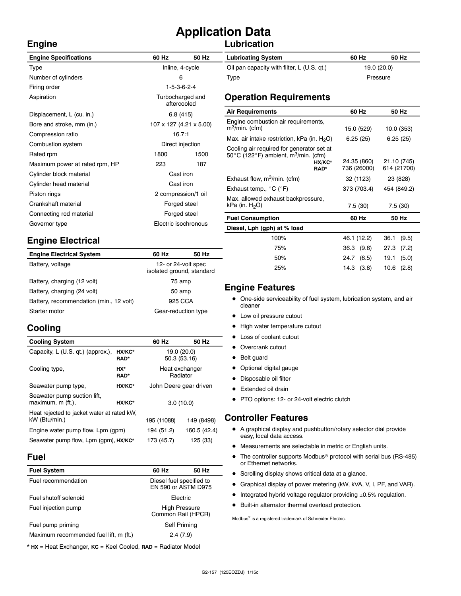# **Application Data**

### **Lubrication**

| <b>Engine Specifications</b>   | 60 Hz                           | 50 Hz                | <b>Lubricating System</b>                                         |          |
|--------------------------------|---------------------------------|----------------------|-------------------------------------------------------------------|----------|
| Type                           | Inline, 4-cycle                 |                      | Oil pan capacity with filter, L (U.S. qt.)                        |          |
| Number of cylinders            | 6                               |                      | Type                                                              |          |
| Firing order                   | $1-5-3-6-2-4$                   |                      |                                                                   |          |
| Aspiration                     | Turbocharged and<br>aftercooled |                      | <b>Operation Requirements</b>                                     |          |
| Displacement, L (cu. in.)      | 6.8(415)                        |                      | <b>Air Requirements</b>                                           |          |
| Bore and stroke, mm (in.)      | 107 x 127 (4.21 x 5.00)         |                      | Engine combustion air requirements,<br>$m^3$ /min. (cfm)          | 1        |
| Compression ratio              | 16.7:1                          |                      | Max. air intake restriction, kPa (in. $H_2O$ )                    |          |
| Combustion system              | Direct injection                |                      | Cooling air required for generator set at                         |          |
| Rated rpm                      | 1800<br>1500                    |                      | 50 $\degree$ C (122 $\degree$ F) ambient, m $\degree$ /min. (cfm) |          |
| Maximum power at rated rpm, HP | 223                             | 187                  | HX/KC*<br>RAD*                                                    | 24<br>73 |
| Cylinder block material        | Cast iron                       |                      |                                                                   |          |
| Cylinder head material         | Cast iron                       |                      | Exhaust flow, $m^3/m$ in. (cfm)                                   | 3        |
| Piston rings                   | 2 compression/1 oil             |                      | Exhaust temp., $^{\circ}$ C ( $^{\circ}$ F)                       | 37       |
| Crankshaft material            | Forged steel                    |                      | Max. allowed exhaust backpressure,                                |          |
|                                |                                 |                      | kPa (in. $H_2O$ )                                                 |          |
| Connecting rod material        | Forged steel                    |                      | <b>Fuel Consumption</b>                                           |          |
| Governor type                  |                                 | Electric isochronous | Diesel, Lph (gph) at % load                                       |          |

# **Engine Electrical**

| <b>Engine Electrical System</b>         | 60 Hz                                            | 50 Hz |  |
|-----------------------------------------|--------------------------------------------------|-------|--|
| Battery, voltage                        | 12- or 24-volt spec<br>isolated ground, standard |       |  |
| Battery, charging (12 volt)             | 75 amp                                           |       |  |
| Battery, charging (24 volt)             | 50 amp                                           |       |  |
| Battery, recommendation (min., 12 volt) | 925 CCA                                          |       |  |
| Starter motor                           | Gear-reduction type                              |       |  |

# **Cooling**

**Engine**

| <b>Cooling System</b>                                       |                | 60 Hz                  | 50 Hz                      |
|-------------------------------------------------------------|----------------|------------------------|----------------------------|
| Capacity, L (U.S. qt.) (approx.),                           | HX/KC*<br>RAD* | 50.3 (53.16)           | 19.0 (20.0)                |
| Cooling type,                                               | HX*<br>RAD*    |                        | Heat exchanger<br>Radiator |
| Seawater pump type,                                         | HX/KC*         | John Deere gear driven |                            |
| Seawater pump suction lift,<br>maximum, m (ft.),            | HX/KC*         | 3.0(10.0)              |                            |
| Heat rejected to jacket water at rated kW.<br>kW (Btu/min.) |                | 195 (11088)            | 149 (8498)                 |
| Engine water pump flow, Lpm (gpm)                           | 194 (51.2)     | 160.5 (42.4)           |                            |
| Seawater pump flow, Lpm (qpm), HX/KC*                       |                | 173 (45.7)             | 125 (33)                   |

### **Fuel**

| <b>Fuel System</b>                     | 60 Hz                                           | 50 Hz |  |
|----------------------------------------|-------------------------------------------------|-------|--|
| Fuel recommendation                    | Diesel fuel specified to<br>EN 590 or ASTM D975 |       |  |
| Fuel shutoff solenoid                  | Electric                                        |       |  |
| Fuel injection pump                    | <b>High Pressure</b><br>Common Rail (HPCR)      |       |  |
| Fuel pump priming                      | Self Priming                                    |       |  |
| Maximum recommended fuel lift, m (ft.) | 2.4(7.9)                                        |       |  |

\* **HX** = Heat Exchanger, **KC** = Keel Cooled, **RAD** = Radiator Model

| <b>Lubricating System</b>                  | 60 Hz<br>50 Hz |  |
|--------------------------------------------|----------------|--|
| Oil pan capacity with filter, L (U.S. qt.) | 19.0 (20.0)    |  |
| Type                                       | Pressure       |  |

| <b>Air Requirements</b>                                                                                                             | 60 Hz                      | 50 Hz                      |
|-------------------------------------------------------------------------------------------------------------------------------------|----------------------------|----------------------------|
| Engine combustion air requirements,<br>$m^3$ /min. (cfm)                                                                            | 15.0 (529)                 | 10.0 (353)                 |
| Max. air intake restriction, kPa (in. $H_2O$ )                                                                                      | 6.25(25)                   | 6.25(25)                   |
| Cooling air required for generator set at<br>50 $\degree$ C (122 $\degree$ F) ambient, m <sup>3</sup> /min. (cfm)<br>HX/KC*<br>RAD* | 24.35 (860)<br>736 (26000) | 21.10 (745)<br>614 (21700) |
| Exhaust flow, $m^3/m$ in. (cfm)                                                                                                     | 32 (1123)                  | 23 (828)                   |
| Exhaust temp., $^{\circ}$ C ( $^{\circ}$ F)                                                                                         | 373 (703.4)                | 454 (849.2)                |
| Max. allowed exhaust backpressure,<br>kPa (in. $H_2O$ )                                                                             | 7.5(30)                    | 7.5(30)                    |
| <b>Fuel Consumption</b>                                                                                                             | 60 Hz                      | 50 Hz                      |
| Diesel, Lph (gph) at % load                                                                                                         |                            |                            |
| 100%                                                                                                                                | 46.1 (12.2)                | 36.1<br>(9.5)              |
| 75%                                                                                                                                 | 36.3 (9.6)                 | 27.3<br>(7.2)              |

### **Engine Features**

• One-side serviceability of fuel system, lubrication system, and air cleaner

50% 24.7 (6.5) 19.1 (5.0) 25% 14.3 (3.8) 10.6 (2.8)

- Low oil pressure cutout
- High water temperature cutout
- Loss of coolant cutout
- Overcrank cutout
- Belt guard
- Optional digital gauge
- Disposable oil filter
- Extended oil drain
- PTO options: 12- or 24-volt electric clutch

### **Controller Features**

- A graphical display and pushbutton/rotary selector dial provide easy, local data access.
- $\bullet$  Measurements are selectable in metric or English units.
- $\bullet$  The controller supports Modbus<sup>®</sup> protocol with serial bus (RS-485) or Ethernet networks.
- Scrolling display shows critical data at a glance.
- Graphical display of power metering (kW, kVA, V, I, PF, and VAR).
- $\bullet$  Integrated hybrid voltage regulator providing  $\pm 0.5\%$  regulation.
- $\bullet$  Built-in alternator thermal overload protection.

 $\text{Modbus}^{\otimes}$  is a registered trademark of Schneider Electric.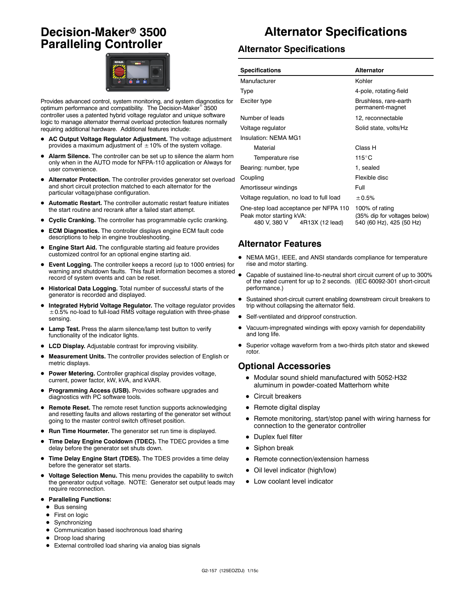# **Decision-Maker<sup>®</sup> 3500 Paralleling Controller**



Provides advanced control, system monitoring, and system diagnostics for optimum performance and compatibility. The Decision-Maker<sup>®</sup> 3500 controller uses a patented hybrid voltage regulator and unique software logic to manage alternator thermal overload protection features normally requiring additional hardware. Additional features include:

- AC Output Voltage Regulator Adjustment. The voltage adjustment provides a maximum adjustment of  $\pm$  10% of the system voltage.
- Alarm Silence. The controller can be set up to silence the alarm horn only when in the AUTO mode for NFPA-110 application or Always for user convenience.
- Alternator Protection. The controller provides generator set overload and short circuit protection matched to each alternator for the particular voltage/phase configuration.
- Automatic Restart. The controller automatic restart feature initiates the start routine and recrank after a failed start attempt.
- **Cyclic Cranking.** The controller has programmable cyclic cranking.
- **ECM Diagnostics.** The controller displays engine ECM fault code descriptions to help in engine troubleshooting.
- Engine Start Aid. The configurable starting aid feature provides customized control for an optional engine starting aid.
- **Event Logging.** The controller keeps a record (up to 1000 entries) for warning and shutdown faults. This fault information becomes a stored record of system events and can be reset.
- $\bullet$  Historical Data Logging. Total number of successful starts of the generator is recorded and displayed.
- Integrated Hybrid Voltage Regulator. The voltage regulator provides  $\pm$  0.5% no-load to full-load RMS voltage regulation with three-phase sensing.
- Lamp Test. Press the alarm silence/lamp test button to verify functionality of the indicator lights.
- LCD Display. Adjustable contrast for improving visibility.
- Measurement Units. The controller provides selection of English or metric displays.
- **Power Metering.** Controller graphical display provides voltage, current, power factor, kW, kVA, and kVAR.
- Programming Access (USB). Provides software upgrades and diagnostics with PC software tools.
- **Remote Reset.** The remote reset function supports acknowledging and resetting faults and allows restarting of the generator set without going to the master control switch off/reset position.
- Run Time Hourmeter. The generator set run time is displayed.
- **Time Delay Engine Cooldown (TDEC).** The TDEC provides a time delay before the generator set shuts down.
- Time Delay Engine Start (TDES). The TDES provides a time delay before the generator set starts.
- $\bullet$  Voltage Selection Menu. This menu provides the capability to switch the generator output voltage. NOTE: Generator set output leads may require reconnection.
- **Paralleling Functions:** 
	- $\bullet$  Bus sensing
	- First on logic
	- $\bullet$  Synchronizing
	- $\bullet$  Communication based isochronous load sharing
	- Droop load sharing
	- External controlled load sharing via analog bias signals

# **Alternator Specifications**

#### **Alternator Specifications**

| <b>Specifications</b>                                                                                | <b>Alternator</b>                                                          |  |
|------------------------------------------------------------------------------------------------------|----------------------------------------------------------------------------|--|
| Manufacturer                                                                                         | Kohler                                                                     |  |
| Type                                                                                                 | 4-pole, rotating-field                                                     |  |
| Exciter type                                                                                         | Brushless, rare-earth<br>permanent-magnet                                  |  |
| Number of leads                                                                                      | 12, reconnectable                                                          |  |
| Voltage regulator                                                                                    | Solid state, volts/Hz                                                      |  |
| Insulation: NFMA MG1                                                                                 |                                                                            |  |
| Material                                                                                             | Class H                                                                    |  |
| Temperature rise                                                                                     | $115^{\circ}$ C                                                            |  |
| Bearing: number, type                                                                                | 1, sealed                                                                  |  |
| Coupling                                                                                             | Flexible disc                                                              |  |
| Amortisseur windings                                                                                 | Full                                                                       |  |
| Voltage regulation, no load to full load                                                             | ± 0.5%                                                                     |  |
| One-step load acceptance per NFPA 110<br>Peak motor starting kVA:<br>480 V, 380 V<br>4R13X (12 lead) | 100% of rating<br>(35% dip for voltages below)<br>540 (60 Hz), 425 (50 Hz) |  |

### **Alternator Features**

- NEMA MG1, IEEE, and ANSI standards compliance for temperature rise and motor starting.
- Capable of sustained line-to-neutral short circuit current of up to 300% of the rated current for up to 2 seconds. (IEC 60092-301 short-circuit performance.)
- Sustained short-circuit current enabling downstream circuit breakers to trip without collapsing the alternator field.
- Self-ventilated and dripproof construction.
- Vacuum-impregnated windings with epoxy varnish for dependability and long life.
- Superior voltage waveform from a two-thirds pitch stator and skewed rotor.

### **Optional Accessories**

- $\bullet$  Modular sound shield manufactured with 5052-H32 aluminum in powder-coated Matterhorn white
- Circuit breakers
- $\bullet$  Remote digital display
- Remote monitoring, start/stop panel with wiring harness for connection to the generator controller
- Duplex fuel filter
- $\bullet$  Siphon break
- Remote connection/extension harness
- Oil level indicator (high/low)
- Low coolant level indicator